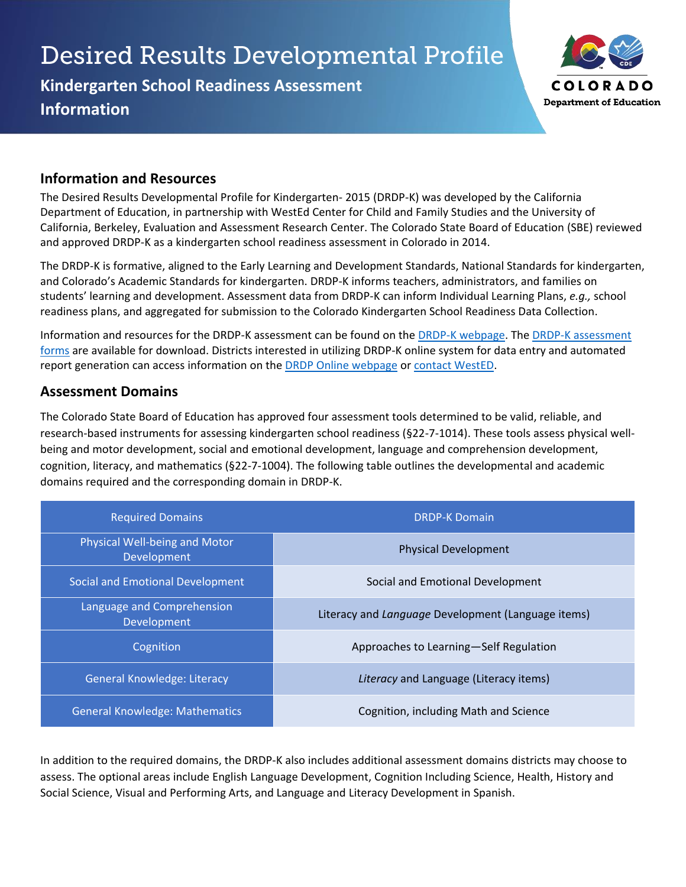# **Desired Results Developmental Profile**

**Kindergarten School Readiness Assessment Information**



## **Information and Resources**

The Desired Results Developmental Profile for Kindergarten- 2015 (DRDP-K) was developed by the California Department of Education, in partnership with WestEd Center for Child and Family Studies and the University of California, Berkeley, Evaluation and Assessment Research Center. The Colorado State Board of Education (SBE) reviewed and approved DRDP-K as a kindergarten school readiness assessment in Colorado in 2014.

The DRDP-K is formative, aligned to the Early Learning and Development Standards, National Standards for kindergarten, and Colorado's Academic Standards for kindergarten. DRDP-K informs teachers, administrators, and families on students' learning and development. Assessment data from DRDP-K can inform Individual Learning Plans, *e.g.,* school readiness plans, and aggregated for submission to the Colorado Kindergarten School Readiness Data Collection.

Information and resources for the DRDP-K assessment can be found on the DRDP-K webpage. The DRDP-K assessment forms are available for download. Districts interested in utilizing DRDP-K online system for data entry and automated report generation can access information on the **DRDP Online webpage or contact WestED**.

## **Assessment Domains**

The Colorado State Board of Education has approved four assessment tools determined to be valid, reliable, and research-based instruments for assessing kindergarten school readiness (§22-7-1014). These tools assess physical wellbeing and motor development, social and emotional development, language and comprehension development, cognition, literacy, and mathematics (§22-7-1004). The following table outlines the developmental and academic domains required and the corresponding domain in DRDP-K.

| <b>Required Domains</b>                      | <b>DRDP-K Domain</b>                               |
|----------------------------------------------|----------------------------------------------------|
| Physical Well-being and Motor<br>Development | <b>Physical Development</b>                        |
| Social and Emotional Development             | Social and Emotional Development                   |
| Language and Comprehension<br>Development    | Literacy and Language Development (Language items) |
| Cognition                                    | Approaches to Learning-Self Regulation             |
| <b>General Knowledge: Literacy</b>           | Literacy and Language (Literacy items)             |
| <b>General Knowledge: Mathematics</b>        | Cognition, including Math and Science              |

In addition to the required domains, the DRDP-K also includes additional assessment domains districts may choose to assess. The optional areas include English Language Development, Cognition Including Science, Health, History and Social Science, Visual and Performing Arts, and Language and Literacy Development in Spanish.